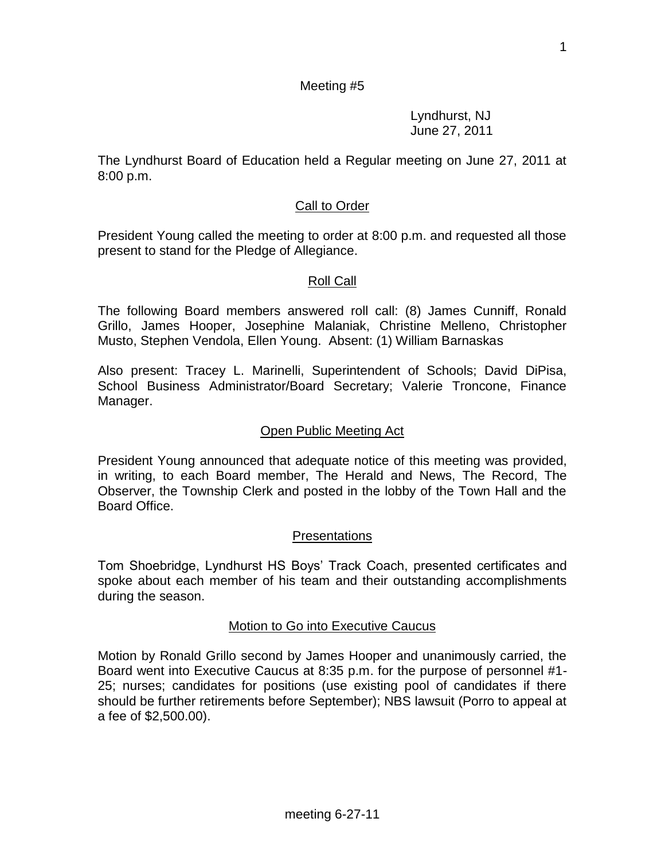#### Meeting #5

Lyndhurst, NJ June 27, 2011

The Lyndhurst Board of Education held a Regular meeting on June 27, 2011 at 8:00 p.m.

#### Call to Order

President Young called the meeting to order at 8:00 p.m. and requested all those present to stand for the Pledge of Allegiance.

#### Roll Call

The following Board members answered roll call: (8) James Cunniff, Ronald Grillo, James Hooper, Josephine Malaniak, Christine Melleno, Christopher Musto, Stephen Vendola, Ellen Young. Absent: (1) William Barnaskas

Also present: Tracey L. Marinelli, Superintendent of Schools; David DiPisa, School Business Administrator/Board Secretary; Valerie Troncone, Finance Manager.

#### Open Public Meeting Act

President Young announced that adequate notice of this meeting was provided, in writing, to each Board member, The Herald and News, The Record, The Observer, the Township Clerk and posted in the lobby of the Town Hall and the Board Office.

#### Presentations

Tom Shoebridge, Lyndhurst HS Boys' Track Coach, presented certificates and spoke about each member of his team and their outstanding accomplishments during the season.

#### Motion to Go into Executive Caucus

Motion by Ronald Grillo second by James Hooper and unanimously carried, the Board went into Executive Caucus at 8:35 p.m. for the purpose of personnel #1- 25; nurses; candidates for positions (use existing pool of candidates if there should be further retirements before September); NBS lawsuit (Porro to appeal at a fee of \$2,500.00).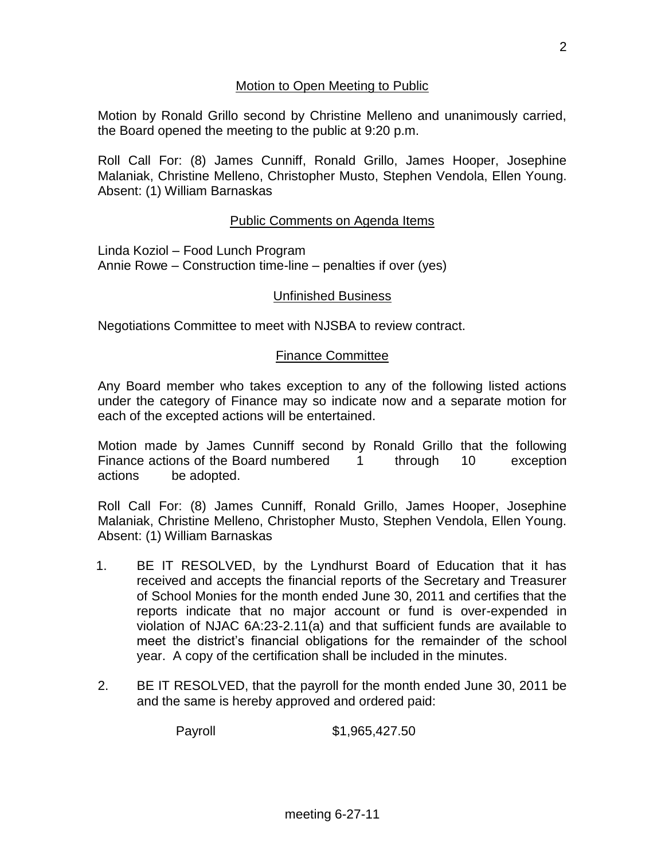### Motion to Open Meeting to Public

Motion by Ronald Grillo second by Christine Melleno and unanimously carried, the Board opened the meeting to the public at 9:20 p.m.

Roll Call For: (8) James Cunniff, Ronald Grillo, James Hooper, Josephine Malaniak, Christine Melleno, Christopher Musto, Stephen Vendola, Ellen Young. Absent: (1) William Barnaskas

# Public Comments on Agenda Items

Linda Koziol – Food Lunch Program Annie Rowe – Construction time-line – penalties if over (yes)

#### Unfinished Business

Negotiations Committee to meet with NJSBA to review contract.

#### Finance Committee

Any Board member who takes exception to any of the following listed actions under the category of Finance may so indicate now and a separate motion for each of the excepted actions will be entertained.

Motion made by James Cunniff second by Ronald Grillo that the following Finance actions of the Board numbered 1 through 10 exception actions be adopted.

Roll Call For: (8) James Cunniff, Ronald Grillo, James Hooper, Josephine Malaniak, Christine Melleno, Christopher Musto, Stephen Vendola, Ellen Young. Absent: (1) William Barnaskas

- 1. BE IT RESOLVED, by the Lyndhurst Board of Education that it has received and accepts the financial reports of the Secretary and Treasurer of School Monies for the month ended June 30, 2011 and certifies that the reports indicate that no major account or fund is over-expended in violation of NJAC 6A:23-2.11(a) and that sufficient funds are available to meet the district's financial obligations for the remainder of the school year. A copy of the certification shall be included in the minutes.
- 2. BE IT RESOLVED, that the payroll for the month ended June 30, 2011 be and the same is hereby approved and ordered paid:

Payroll \$1,965,427.50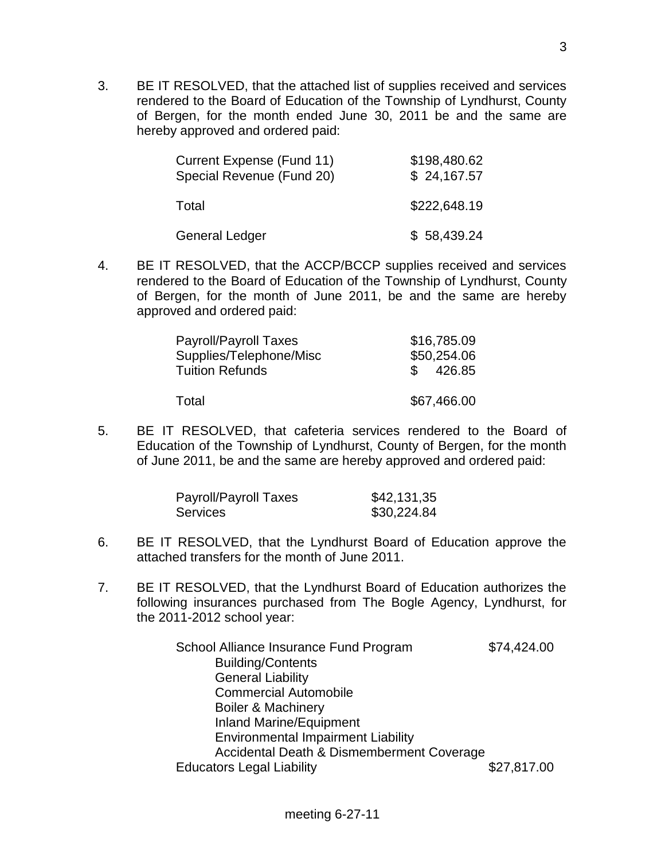3. BE IT RESOLVED, that the attached list of supplies received and services rendered to the Board of Education of the Township of Lyndhurst, County of Bergen, for the month ended June 30, 2011 be and the same are hereby approved and ordered paid:

| Current Expense (Fund 11)<br>Special Revenue (Fund 20) | \$198,480.62<br>\$24,167.57 |
|--------------------------------------------------------|-----------------------------|
| Total                                                  | \$222,648.19                |
| <b>General Ledger</b>                                  | \$58,439.24                 |

4. BE IT RESOLVED, that the ACCP/BCCP supplies received and services rendered to the Board of Education of the Township of Lyndhurst, County of Bergen, for the month of June 2011, be and the same are hereby approved and ordered paid:

| Payroll/Payroll Taxes   | \$16,785.09 |
|-------------------------|-------------|
| Supplies/Telephone/Misc | \$50,254.06 |
| <b>Tuition Refunds</b>  | \$426.85    |
|                         |             |
| Total                   | \$67,466.00 |

5. BE IT RESOLVED, that cafeteria services rendered to the Board of Education of the Township of Lyndhurst, County of Bergen, for the month of June 2011, be and the same are hereby approved and ordered paid:

| Payroll/Payroll Taxes | \$42,131,35 |
|-----------------------|-------------|
| <b>Services</b>       | \$30,224.84 |

- 6. BE IT RESOLVED, that the Lyndhurst Board of Education approve the attached transfers for the month of June 2011.
- 7. BE IT RESOLVED, that the Lyndhurst Board of Education authorizes the following insurances purchased from The Bogle Agency, Lyndhurst, for the 2011-2012 school year:

| School Alliance Insurance Fund Program    | \$74,424.00 |
|-------------------------------------------|-------------|
| <b>Building/Contents</b>                  |             |
| <b>General Liability</b>                  |             |
| <b>Commercial Automobile</b>              |             |
| <b>Boiler &amp; Machinery</b>             |             |
| <b>Inland Marine/Equipment</b>            |             |
| <b>Environmental Impairment Liability</b> |             |
| Accidental Death & Dismemberment Coverage |             |
| <b>Educators Legal Liability</b>          | \$27,817.00 |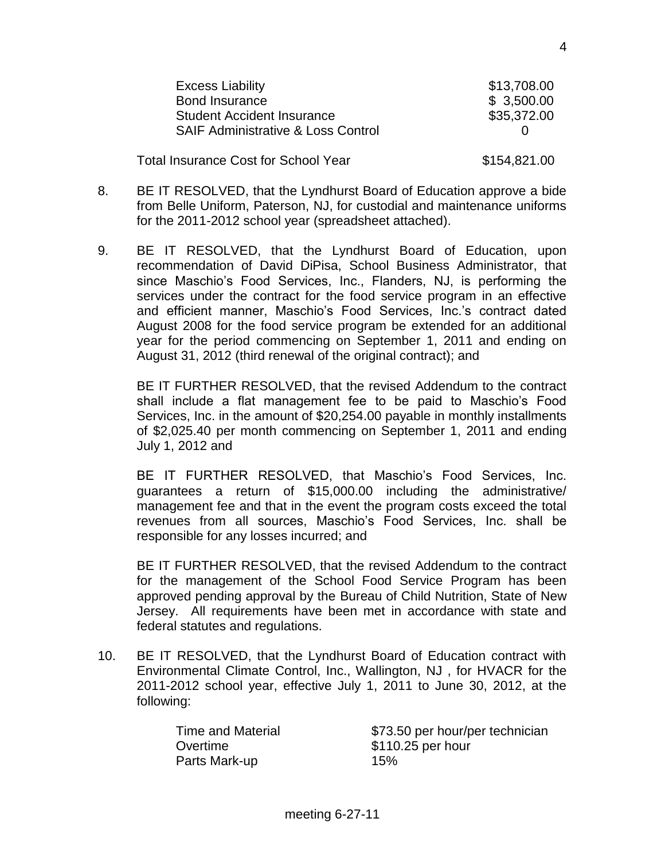| <b>Excess Liability</b>                       | \$13,708.00  |
|-----------------------------------------------|--------------|
| <b>Bond Insurance</b>                         | \$3,500.00   |
| <b>Student Accident Insurance</b>             | \$35,372.00  |
| <b>SAIF Administrative &amp; Loss Control</b> |              |
| <b>Total Insurance Cost for School Year</b>   | \$154,821.00 |

- 8. BE IT RESOLVED, that the Lyndhurst Board of Education approve a bide from Belle Uniform, Paterson, NJ, for custodial and maintenance uniforms for the 2011-2012 school year (spreadsheet attached).
- 9. BE IT RESOLVED, that the Lyndhurst Board of Education, upon recommendation of David DiPisa, School Business Administrator, that since Maschio's Food Services, Inc., Flanders, NJ, is performing the services under the contract for the food service program in an effective and efficient manner, Maschio's Food Services, Inc.'s contract dated August 2008 for the food service program be extended for an additional year for the period commencing on September 1, 2011 and ending on August 31, 2012 (third renewal of the original contract); and

BE IT FURTHER RESOLVED, that the revised Addendum to the contract shall include a flat management fee to be paid to Maschio's Food Services, Inc. in the amount of \$20,254.00 payable in monthly installments of \$2,025.40 per month commencing on September 1, 2011 and ending July 1, 2012 and

BE IT FURTHER RESOLVED, that Maschio's Food Services, Inc. guarantees a return of \$15,000.00 including the administrative/ management fee and that in the event the program costs exceed the total revenues from all sources, Maschio's Food Services, Inc. shall be responsible for any losses incurred; and

BE IT FURTHER RESOLVED, that the revised Addendum to the contract for the management of the School Food Service Program has been approved pending approval by the Bureau of Child Nutrition, State of New Jersey. All requirements have been met in accordance with state and federal statutes and regulations.

10. BE IT RESOLVED, that the Lyndhurst Board of Education contract with Environmental Climate Control, Inc., Wallington, NJ , for HVACR for the 2011-2012 school year, effective July 1, 2011 to June 30, 2012, at the following:

| Time and Material | \$73.50 per hour/per technician |
|-------------------|---------------------------------|
| Overtime          | \$110.25 per hour               |
| Parts Mark-up     | 15%                             |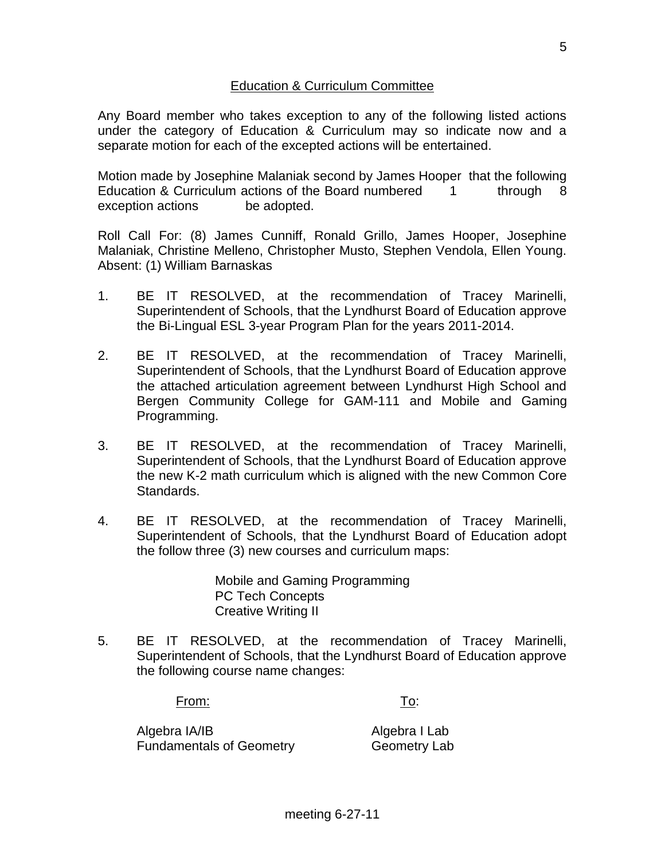#### Education & Curriculum Committee

Any Board member who takes exception to any of the following listed actions under the category of Education & Curriculum may so indicate now and a separate motion for each of the excepted actions will be entertained.

Motion made by Josephine Malaniak second by James Hooper that the following Education & Curriculum actions of the Board numbered 1 through 8 exception actions be adopted.

Roll Call For: (8) James Cunniff, Ronald Grillo, James Hooper, Josephine Malaniak, Christine Melleno, Christopher Musto, Stephen Vendola, Ellen Young. Absent: (1) William Barnaskas

- 1. BE IT RESOLVED, at the recommendation of Tracey Marinelli, Superintendent of Schools, that the Lyndhurst Board of Education approve the Bi-Lingual ESL 3-year Program Plan for the years 2011-2014.
- 2. BE IT RESOLVED, at the recommendation of Tracey Marinelli, Superintendent of Schools, that the Lyndhurst Board of Education approve the attached articulation agreement between Lyndhurst High School and Bergen Community College for GAM-111 and Mobile and Gaming Programming.
- 3. BE IT RESOLVED, at the recommendation of Tracey Marinelli, Superintendent of Schools, that the Lyndhurst Board of Education approve the new K-2 math curriculum which is aligned with the new Common Core Standards.
- 4. BE IT RESOLVED, at the recommendation of Tracey Marinelli, Superintendent of Schools, that the Lyndhurst Board of Education adopt the follow three (3) new courses and curriculum maps:

Mobile and Gaming Programming PC Tech Concepts Creative Writing II

5. BE IT RESOLVED, at the recommendation of Tracey Marinelli, Superintendent of Schools, that the Lyndhurst Board of Education approve the following course name changes:

From: To:

Algebra IA/IB Algebra I Lab Fundamentals of Geometry Geometry Lab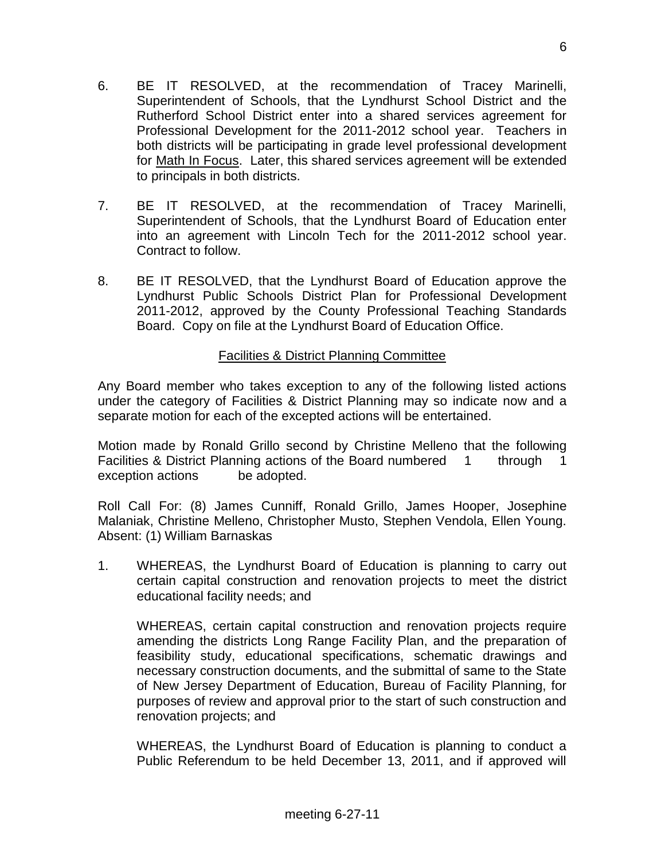- 6. BE IT RESOLVED, at the recommendation of Tracey Marinelli, Superintendent of Schools, that the Lyndhurst School District and the Rutherford School District enter into a shared services agreement for Professional Development for the 2011-2012 school year. Teachers in both districts will be participating in grade level professional development for Math In Focus. Later, this shared services agreement will be extended to principals in both districts.
- 7. BE IT RESOLVED, at the recommendation of Tracey Marinelli, Superintendent of Schools, that the Lyndhurst Board of Education enter into an agreement with Lincoln Tech for the 2011-2012 school year. Contract to follow.
- 8. BE IT RESOLVED, that the Lyndhurst Board of Education approve the Lyndhurst Public Schools District Plan for Professional Development 2011-2012, approved by the County Professional Teaching Standards Board. Copy on file at the Lyndhurst Board of Education Office.

# Facilities & District Planning Committee

Any Board member who takes exception to any of the following listed actions under the category of Facilities & District Planning may so indicate now and a separate motion for each of the excepted actions will be entertained.

Motion made by Ronald Grillo second by Christine Melleno that the following Facilities & District Planning actions of the Board numbered 1 through 1 exception actions be adopted.

Roll Call For: (8) James Cunniff, Ronald Grillo, James Hooper, Josephine Malaniak, Christine Melleno, Christopher Musto, Stephen Vendola, Ellen Young. Absent: (1) William Barnaskas

1. WHEREAS, the Lyndhurst Board of Education is planning to carry out certain capital construction and renovation projects to meet the district educational facility needs; and

WHEREAS, certain capital construction and renovation projects require amending the districts Long Range Facility Plan, and the preparation of feasibility study, educational specifications, schematic drawings and necessary construction documents, and the submittal of same to the State of New Jersey Department of Education, Bureau of Facility Planning, for purposes of review and approval prior to the start of such construction and renovation projects; and

WHEREAS, the Lyndhurst Board of Education is planning to conduct a Public Referendum to be held December 13, 2011, and if approved will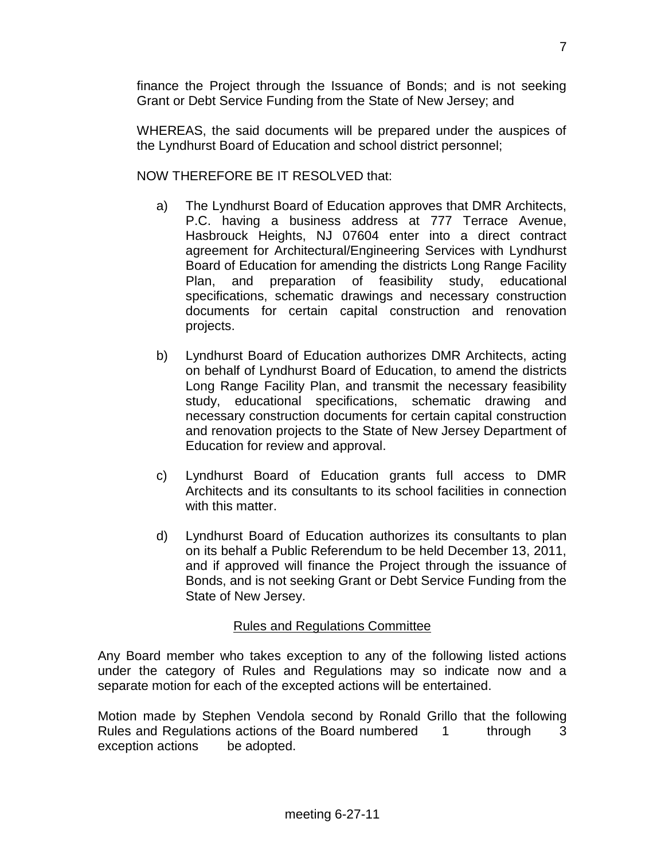finance the Project through the Issuance of Bonds; and is not seeking Grant or Debt Service Funding from the State of New Jersey; and

WHEREAS, the said documents will be prepared under the auspices of the Lyndhurst Board of Education and school district personnel;

NOW THEREFORE BE IT RESOLVED that:

- a) The Lyndhurst Board of Education approves that DMR Architects, P.C. having a business address at 777 Terrace Avenue, Hasbrouck Heights, NJ 07604 enter into a direct contract agreement for Architectural/Engineering Services with Lyndhurst Board of Education for amending the districts Long Range Facility Plan, and preparation of feasibility study, educational specifications, schematic drawings and necessary construction documents for certain capital construction and renovation projects.
- b) Lyndhurst Board of Education authorizes DMR Architects, acting on behalf of Lyndhurst Board of Education, to amend the districts Long Range Facility Plan, and transmit the necessary feasibility study, educational specifications, schematic drawing and necessary construction documents for certain capital construction and renovation projects to the State of New Jersey Department of Education for review and approval.
- c) Lyndhurst Board of Education grants full access to DMR Architects and its consultants to its school facilities in connection with this matter.
- d) Lyndhurst Board of Education authorizes its consultants to plan on its behalf a Public Referendum to be held December 13, 2011, and if approved will finance the Project through the issuance of Bonds, and is not seeking Grant or Debt Service Funding from the State of New Jersey.

# Rules and Regulations Committee

Any Board member who takes exception to any of the following listed actions under the category of Rules and Regulations may so indicate now and a separate motion for each of the excepted actions will be entertained.

Motion made by Stephen Vendola second by Ronald Grillo that the following Rules and Regulations actions of the Board numbered 1 through 3 exception actions be adopted.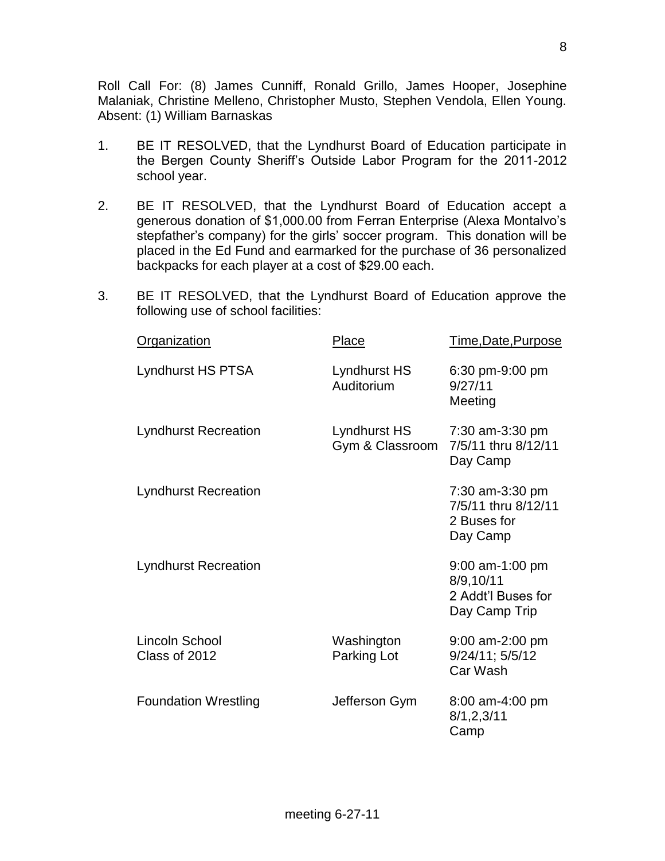Roll Call For: (8) James Cunniff, Ronald Grillo, James Hooper, Josephine Malaniak, Christine Melleno, Christopher Musto, Stephen Vendola, Ellen Young. Absent: (1) William Barnaskas

- 1. BE IT RESOLVED, that the Lyndhurst Board of Education participate in the Bergen County Sheriff's Outside Labor Program for the 2011-2012 school year.
- 2. BE IT RESOLVED, that the Lyndhurst Board of Education accept a generous donation of \$1,000.00 from Ferran Enterprise (Alexa Montalvo's stepfather's company) for the girls' soccer program. This donation will be placed in the Ed Fund and earmarked for the purchase of 36 personalized backpacks for each player at a cost of \$29.00 each.
- 3. BE IT RESOLVED, that the Lyndhurst Board of Education approve the following use of school facilities:

| <b>Organization</b>             | <b>Place</b>                    | <u>Time,Date,Purpose</u>                                              |
|---------------------------------|---------------------------------|-----------------------------------------------------------------------|
| <b>Lyndhurst HS PTSA</b>        | Lyndhurst HS<br>Auditorium      | 6:30 pm-9:00 pm<br>9/27/11<br>Meeting                                 |
| <b>Lyndhurst Recreation</b>     | Lyndhurst HS<br>Gym & Classroom | 7:30 am-3:30 pm<br>7/5/11 thru 8/12/11<br>Day Camp                    |
| <b>Lyndhurst Recreation</b>     |                                 | 7:30 am-3:30 pm<br>7/5/11 thru 8/12/11<br>2 Buses for<br>Day Camp     |
| <b>Lyndhurst Recreation</b>     |                                 | $9:00$ am-1:00 pm<br>8/9,10/11<br>2 Addt'l Buses for<br>Day Camp Trip |
| Lincoln School<br>Class of 2012 | Washington<br>Parking Lot       | $9:00$ am-2:00 pm<br>9/24/11; 5/5/12<br>Car Wash                      |
| <b>Foundation Wrestling</b>     | Jefferson Gym                   | 8:00 am-4:00 pm<br>8/1, 2, 3/11<br>Camp                               |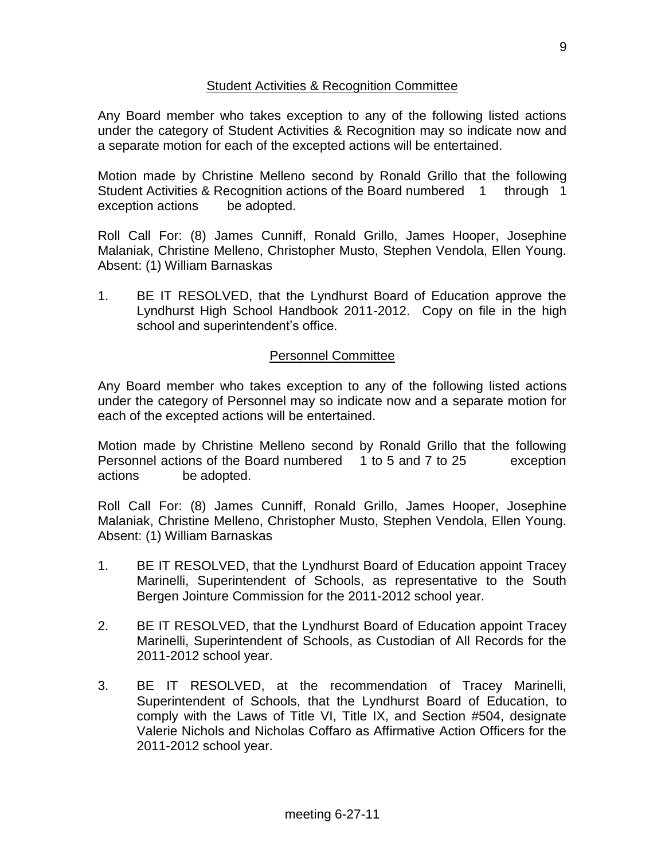#### Student Activities & Recognition Committee

Any Board member who takes exception to any of the following listed actions under the category of Student Activities & Recognition may so indicate now and a separate motion for each of the excepted actions will be entertained.

Motion made by Christine Melleno second by Ronald Grillo that the following Student Activities & Recognition actions of the Board numbered 1 through 1 exception actions be adopted.

Roll Call For: (8) James Cunniff, Ronald Grillo, James Hooper, Josephine Malaniak, Christine Melleno, Christopher Musto, Stephen Vendola, Ellen Young. Absent: (1) William Barnaskas

1. BE IT RESOLVED, that the Lyndhurst Board of Education approve the Lyndhurst High School Handbook 2011-2012. Copy on file in the high school and superintendent's office.

# Personnel Committee

Any Board member who takes exception to any of the following listed actions under the category of Personnel may so indicate now and a separate motion for each of the excepted actions will be entertained.

Motion made by Christine Melleno second by Ronald Grillo that the following Personnel actions of the Board numbered 1 to 5 and 7 to 25 exception actions be adopted.

Roll Call For: (8) James Cunniff, Ronald Grillo, James Hooper, Josephine Malaniak, Christine Melleno, Christopher Musto, Stephen Vendola, Ellen Young. Absent: (1) William Barnaskas

- 1. BE IT RESOLVED, that the Lyndhurst Board of Education appoint Tracey Marinelli, Superintendent of Schools, as representative to the South Bergen Jointure Commission for the 2011-2012 school year.
- 2. BE IT RESOLVED, that the Lyndhurst Board of Education appoint Tracey Marinelli, Superintendent of Schools, as Custodian of All Records for the 2011-2012 school year.
- 3. BE IT RESOLVED, at the recommendation of Tracey Marinelli, Superintendent of Schools, that the Lyndhurst Board of Education, to comply with the Laws of Title VI, Title IX, and Section #504, designate Valerie Nichols and Nicholas Coffaro as Affirmative Action Officers for the 2011-2012 school year.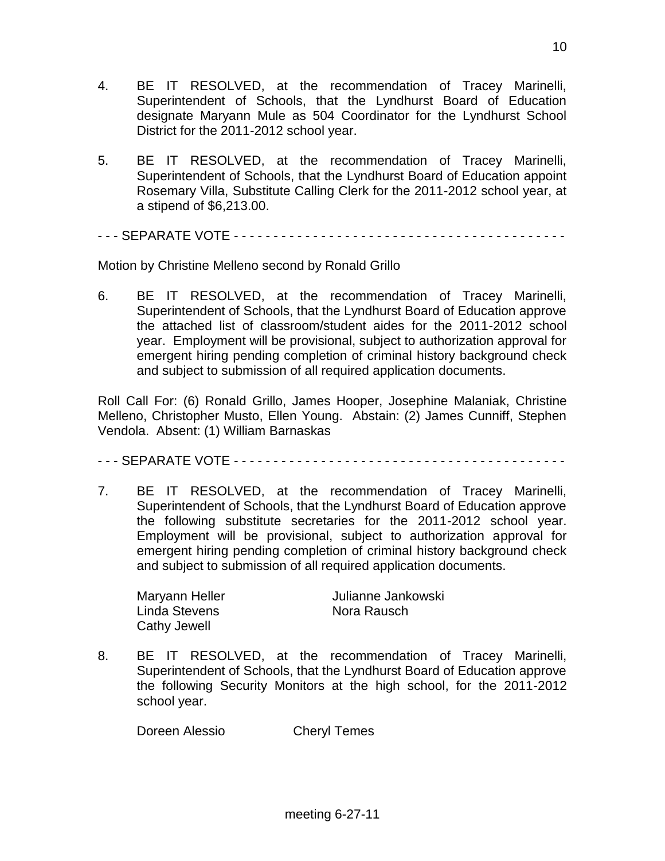- 4. BE IT RESOLVED, at the recommendation of Tracey Marinelli, Superintendent of Schools, that the Lyndhurst Board of Education designate Maryann Mule as 504 Coordinator for the Lyndhurst School District for the 2011-2012 school year.
- 5. BE IT RESOLVED, at the recommendation of Tracey Marinelli, Superintendent of Schools, that the Lyndhurst Board of Education appoint Rosemary Villa, Substitute Calling Clerk for the 2011-2012 school year, at a stipend of \$6,213.00.
- - SEPARATE VOTE - - - - - - - - - - - - - - - - - - - - -

Motion by Christine Melleno second by Ronald Grillo

6. BE IT RESOLVED, at the recommendation of Tracey Marinelli, Superintendent of Schools, that the Lyndhurst Board of Education approve the attached list of classroom/student aides for the 2011-2012 school year. Employment will be provisional, subject to authorization approval for emergent hiring pending completion of criminal history background check and subject to submission of all required application documents.

Roll Call For: (6) Ronald Grillo, James Hooper, Josephine Malaniak, Christine Melleno, Christopher Musto, Ellen Young. Abstain: (2) James Cunniff, Stephen Vendola. Absent: (1) William Barnaskas

- - - SEPARATE VOTE - - - - - - - - - - - - - - - - - - - - - - - - - - - - - - - - - - - - - - - - - -

7. BE IT RESOLVED, at the recommendation of Tracey Marinelli, Superintendent of Schools, that the Lyndhurst Board of Education approve the following substitute secretaries for the 2011-2012 school year. Employment will be provisional, subject to authorization approval for emergent hiring pending completion of criminal history background check and subject to submission of all required application documents.

Maryann Heller **Graum Heller** Julianne Jankowski Linda Stevens Nora Rausch Cathy Jewell

8. BE IT RESOLVED, at the recommendation of Tracey Marinelli, Superintendent of Schools, that the Lyndhurst Board of Education approve the following Security Monitors at the high school, for the 2011-2012 school year.

Doreen Alessio Cheryl Temes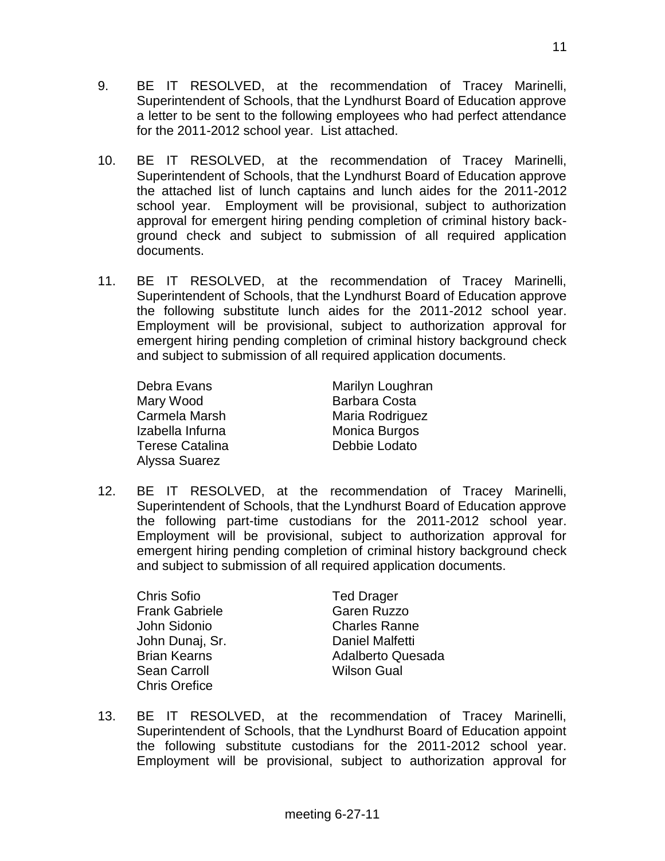- 9. BE IT RESOLVED, at the recommendation of Tracey Marinelli, Superintendent of Schools, that the Lyndhurst Board of Education approve a letter to be sent to the following employees who had perfect attendance for the 2011-2012 school year. List attached.
- 10. BE IT RESOLVED, at the recommendation of Tracey Marinelli, Superintendent of Schools, that the Lyndhurst Board of Education approve the attached list of lunch captains and lunch aides for the 2011-2012 school year. Employment will be provisional, subject to authorization approval for emergent hiring pending completion of criminal history background check and subject to submission of all required application documents.
- 11. BE IT RESOLVED, at the recommendation of Tracey Marinelli, Superintendent of Schools, that the Lyndhurst Board of Education approve the following substitute lunch aides for the 2011-2012 school year. Employment will be provisional, subject to authorization approval for emergent hiring pending completion of criminal history background check and subject to submission of all required application documents.

Mary Wood **Barbara Costa** Izabella Infurna **Monica Burgos** Terese Catalina **Debbie Lodato** Alyssa Suarez

Debra Evans Marilyn Loughran Carmela Marsh Maria Rodriguez

12. BE IT RESOLVED, at the recommendation of Tracey Marinelli, Superintendent of Schools, that the Lyndhurst Board of Education approve the following part-time custodians for the 2011-2012 school year. Employment will be provisional, subject to authorization approval for emergent hiring pending completion of criminal history background check and subject to submission of all required application documents.

Chris Sofio **Ted Drager** Frank Gabriele Garen Ruzzo John Sidonio Charles Ranne John Dunai, Sr. **Daniel Malfetti** Sean Carroll **Wilson Gual** Chris Orefice

Brian Kearns **Adalberto Quesada** 

13. BE IT RESOLVED, at the recommendation of Tracey Marinelli, Superintendent of Schools, that the Lyndhurst Board of Education appoint the following substitute custodians for the 2011-2012 school year. Employment will be provisional, subject to authorization approval for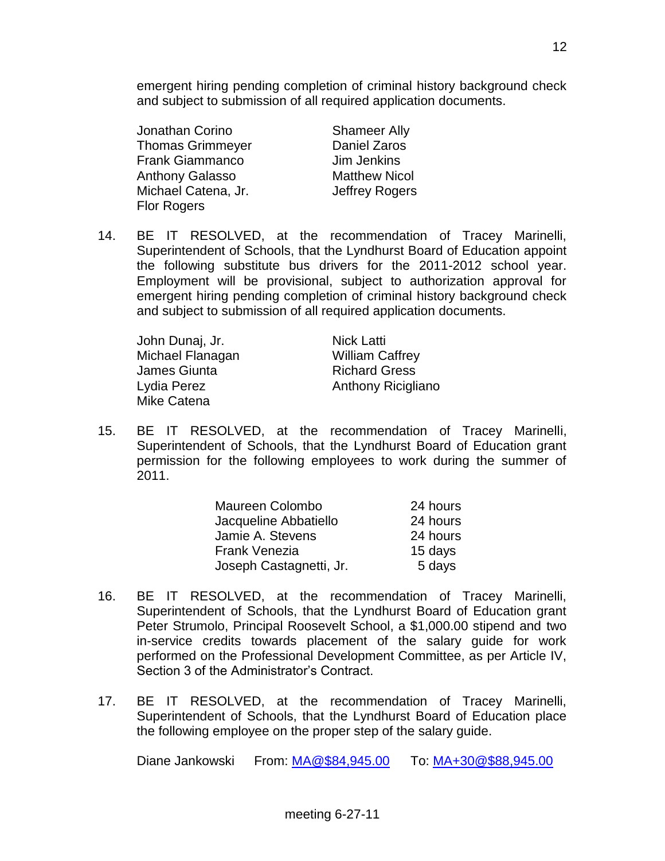emergent hiring pending completion of criminal history background check and subject to submission of all required application documents.

Jonathan Corino Shameer Ally Thomas Grimmeyer **Daniel Zaros** Frank Giammanco Jim Jenkins Anthony Galasso Matthew Nicol Michael Catena, Jr. **Jeffrey Rogers** Flor Rogers

14. BE IT RESOLVED, at the recommendation of Tracey Marinelli, Superintendent of Schools, that the Lyndhurst Board of Education appoint the following substitute bus drivers for the 2011-2012 school year. Employment will be provisional, subject to authorization approval for emergent hiring pending completion of criminal history background check and subject to submission of all required application documents.

| John Dunaj, Jr.  | <b>Nick Latti</b>      |
|------------------|------------------------|
| Michael Flanagan | <b>William Caffrey</b> |
| James Giunta     | <b>Richard Gress</b>   |
| Lydia Perez      | Anthony Ricigliano     |
| Mike Catena      |                        |

15. BE IT RESOLVED, at the recommendation of Tracey Marinelli, Superintendent of Schools, that the Lyndhurst Board of Education grant permission for the following employees to work during the summer of 2011.

| Maureen Colombo         | 24 hours |
|-------------------------|----------|
| Jacqueline Abbatiello   | 24 hours |
| Jamie A. Stevens        | 24 hours |
| <b>Frank Venezia</b>    | 15 days  |
| Joseph Castagnetti, Jr. | 5 days   |

- 16. BE IT RESOLVED, at the recommendation of Tracey Marinelli, Superintendent of Schools, that the Lyndhurst Board of Education grant Peter Strumolo, Principal Roosevelt School, a \$1,000.00 stipend and two in-service credits towards placement of the salary guide for work performed on the Professional Development Committee, as per Article IV, Section 3 of the Administrator's Contract.
- 17. BE IT RESOLVED, at the recommendation of Tracey Marinelli, Superintendent of Schools, that the Lyndhurst Board of Education place the following employee on the proper step of the salary guide.

Diane Jankowski From: [MA@\\$84,945.00](mailto:MA@$84,945.00) To: [MA+30@\\$88,945.00](mailto:MA+30@$88,945.00)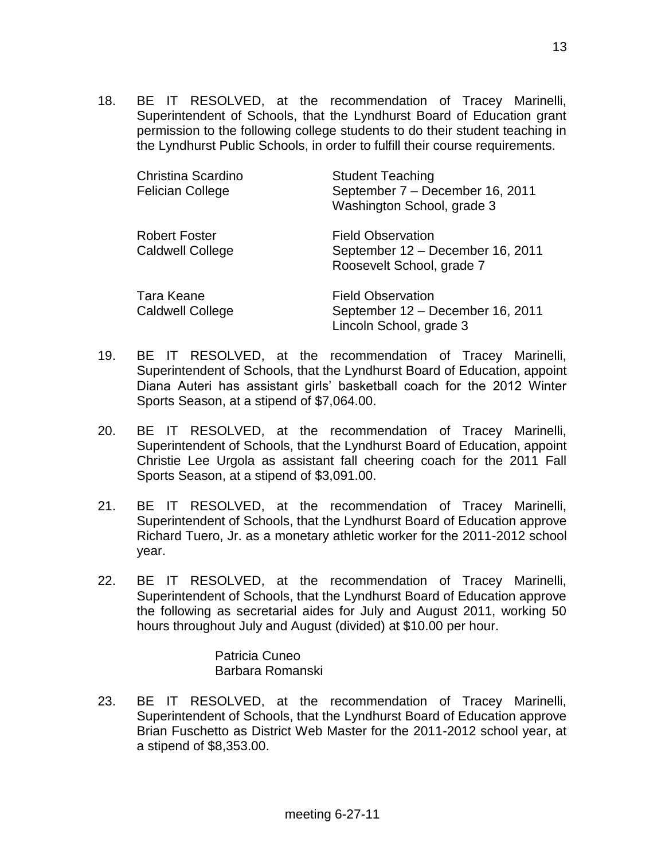18. BE IT RESOLVED, at the recommendation of Tracey Marinelli, Superintendent of Schools, that the Lyndhurst Board of Education grant permission to the following college students to do their student teaching in the Lyndhurst Public Schools, in order to fulfill their course requirements.

| <b>Christina Scardino</b><br><b>Felician College</b> | <b>Student Teaching</b><br>September 7 - December 16, 2011<br>Washington School, grade 3  |
|------------------------------------------------------|-------------------------------------------------------------------------------------------|
| <b>Robert Foster</b><br><b>Caldwell College</b>      | <b>Field Observation</b><br>September 12 - December 16, 2011<br>Roosevelt School, grade 7 |
| Tara Keane<br><b>Caldwell College</b>                | <b>Field Observation</b><br>September 12 - December 16, 2011<br>Lincoln School, grade 3   |

- 19. BE IT RESOLVED, at the recommendation of Tracey Marinelli, Superintendent of Schools, that the Lyndhurst Board of Education, appoint Diana Auteri has assistant girls' basketball coach for the 2012 Winter Sports Season, at a stipend of \$7,064.00.
- 20. BE IT RESOLVED, at the recommendation of Tracey Marinelli, Superintendent of Schools, that the Lyndhurst Board of Education, appoint Christie Lee Urgola as assistant fall cheering coach for the 2011 Fall Sports Season, at a stipend of \$3,091.00.
- 21. BE IT RESOLVED, at the recommendation of Tracey Marinelli, Superintendent of Schools, that the Lyndhurst Board of Education approve Richard Tuero, Jr. as a monetary athletic worker for the 2011-2012 school year.
- 22. BE IT RESOLVED, at the recommendation of Tracey Marinelli, Superintendent of Schools, that the Lyndhurst Board of Education approve the following as secretarial aides for July and August 2011, working 50 hours throughout July and August (divided) at \$10.00 per hour.

Patricia Cuneo Barbara Romanski

23. BE IT RESOLVED, at the recommendation of Tracey Marinelli, Superintendent of Schools, that the Lyndhurst Board of Education approve Brian Fuschetto as District Web Master for the 2011-2012 school year, at a stipend of \$8,353.00.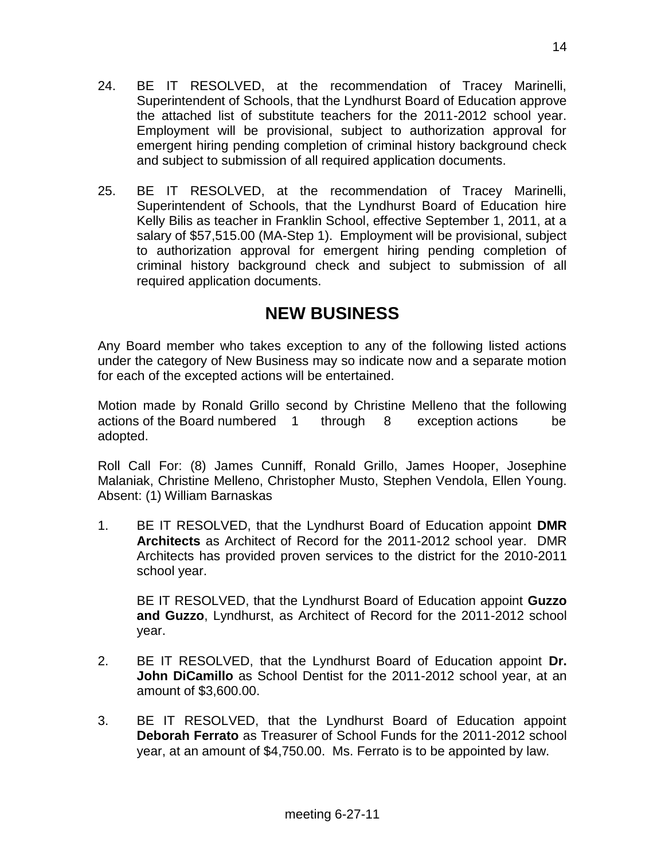- 24. BE IT RESOLVED, at the recommendation of Tracey Marinelli, Superintendent of Schools, that the Lyndhurst Board of Education approve the attached list of substitute teachers for the 2011-2012 school year. Employment will be provisional, subject to authorization approval for emergent hiring pending completion of criminal history background check and subject to submission of all required application documents.
- 25. BE IT RESOLVED, at the recommendation of Tracey Marinelli, Superintendent of Schools, that the Lyndhurst Board of Education hire Kelly Bilis as teacher in Franklin School, effective September 1, 2011, at a salary of \$57,515.00 (MA-Step 1). Employment will be provisional, subject to authorization approval for emergent hiring pending completion of criminal history background check and subject to submission of all required application documents.

# **NEW BUSINESS**

Any Board member who takes exception to any of the following listed actions under the category of New Business may so indicate now and a separate motion for each of the excepted actions will be entertained.

Motion made by Ronald Grillo second by Christine Melleno that the following actions of the Board numbered 1 through 8 exception actions be adopted.

Roll Call For: (8) James Cunniff, Ronald Grillo, James Hooper, Josephine Malaniak, Christine Melleno, Christopher Musto, Stephen Vendola, Ellen Young. Absent: (1) William Barnaskas

1. BE IT RESOLVED, that the Lyndhurst Board of Education appoint **DMR Architects** as Architect of Record for the 2011-2012 school year. DMR Architects has provided proven services to the district for the 2010-2011 school year.

BE IT RESOLVED, that the Lyndhurst Board of Education appoint **Guzzo and Guzzo**, Lyndhurst, as Architect of Record for the 2011-2012 school year.

- 2. BE IT RESOLVED, that the Lyndhurst Board of Education appoint **Dr. John DiCamillo** as School Dentist for the 2011-2012 school year, at an amount of \$3,600.00.
- 3. BE IT RESOLVED, that the Lyndhurst Board of Education appoint **Deborah Ferrato** as Treasurer of School Funds for the 2011-2012 school year, at an amount of \$4,750.00. Ms. Ferrato is to be appointed by law.